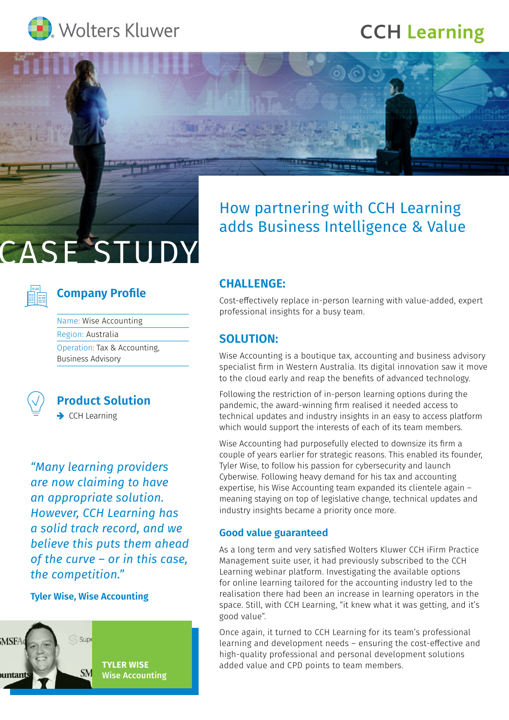

## **CCH [Learning](https://www.cchlearning.com.au)**

## How partnering with CCH Learning adds Business Intelligence & Value

# CASE STUDY

### **Company Profile**

| Name: Wise Accounting        |
|------------------------------|
| Region: Australia            |
| Operation: Tax & Accounting, |
| <b>Business Advisory</b>     |



**Product Solution**  $\rightarrow$  CCH Learning

*"Many learning providers are now claiming to have an appropriate solution. However, CCH Learning has a solid track record, and we believe this puts them ahead of the curve – or in this case, the competition."*

#### **Tyler Wise, Wise Accounting**



#### **CHALLENGE:**

Cost-effectively replace in-person learning with value-added, expert professional insights for a busy team.

#### **SOLUTION:**

Wise Accounting is a boutique tax, accounting and business advisory specialist firm in Western Australia. Its digital innovation saw it move to the cloud early and reap the benefits of advanced technology.

Following the restriction of in-person learning options during the pandemic, the award-winning firm realised it needed access to technical updates and industry insights in an easy to access platform which would support the interests of each of its team members.

Wise Accounting had purposefully elected to downsize its firm a couple of years earlier for strategic reasons. This enabled its founder, Tyler Wise, to follow his passion for cybersecurity and launch Cyberwise. Following heavy demand for his tax and accounting expertise, his Wise Accounting team expanded its clientele again – meaning staying on top of legislative change, technical updates and industry insights became a priority once more.

#### **Good value guaranteed**

As a long term and very satisfied Wolters Kluwer CCH iFirm Practice Management suite user, it had previously subscribed to the CCH Learning webinar platform. Investigating the available options for online learning tailored for the accounting industry led to the realisation there had been an increase in learning operators in the space. Still, with CCH Learning, "it knew what it was getting, and it's good value".

Once again, it turned to CCH Learning for its team's professional learning and development needs – ensuring the cost-effective and high-quality professional and personal development solutions added value and CPD points to team members.